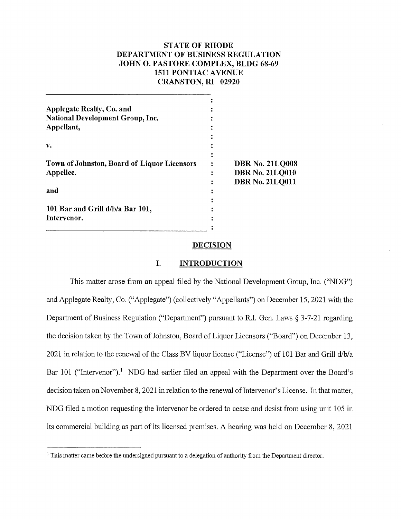# **STATE OF RHODE DEPARTMENT OF BUSINESS REGULATION JOHN 0. PASTORE COMPLEX, BLDG 68-69 1511 PONTIAC A VENUE CRANSTON, RI 02920**

| Applegate Realty, Co. and                   |                        |
|---------------------------------------------|------------------------|
| <b>National Development Group, Inc.</b>     |                        |
| Appellant,                                  |                        |
|                                             |                        |
| v.                                          |                        |
|                                             |                        |
| Town of Johnston, Board of Liquor Licensors | <b>DBR No. 21LQ008</b> |
| Appellee.                                   | <b>DBR No. 21LQ010</b> |
|                                             | <b>DBR No. 21LQ011</b> |
| and                                         |                        |
|                                             |                        |
| 101 Bar and Grill d/b/a Bar 101,            |                        |
| Intervenor.                                 |                        |
|                                             |                        |

#### **DECISION**

## **I. INTRODUCTION**

This matter arose from an appeal filed by the National Development Group, Inc. ("NDG") and Applegate Realty, Co. ("Applegate") (collectively "Appellants") on December 15, 2021 with the Department of Business Regulation ("Department") pursuant to R.I. Gen. Laws§ 3-7-21 regarding the decision taken by the Town of Johnston, Board of Liquor Licensors ("Board") on December 13, 2021 in relation to the renewal of the Class BV liquor license ("License") of 101 Bar and Grill d/b/a Bar 101 ("Intervenor").<sup>1</sup> NDG had earlier filed an appeal with the Department over the Board's decision taken on November 8, 2021 in relation to the renewal of Intervenor's License. In that matter, NDG filed a motion requesting the Intervenor be ordered to cease and desist from using unit 105 in its commercial building as part of its licensed premises. A hearing was held on December 8, 2021

 $<sup>1</sup>$  This matter came before the undersigned pursuant to a delegation of authority from the Department director.</sup>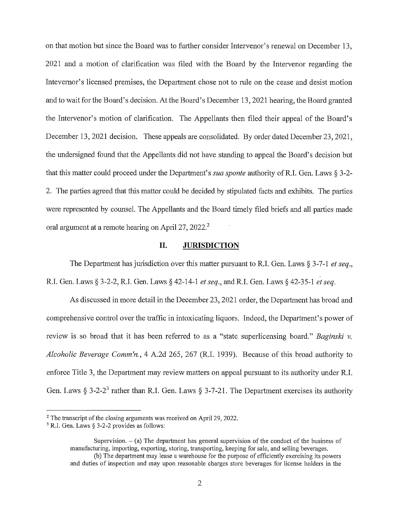on that motion but since the Board was to further consider Intervenor's renewal on December 13, 2021 and a motion of clarification was filed with the Board by the Intervenor regarding the Intevernor's licensed premises, the Department chose not to rule on the cease and desist motion and to wait for the Board's decision. At the Board's December 13, 2021 hearing, the Board granted the Intervenor's motion of clarification. The Appellants then filed their appeal of the Board's December 13, 2021 decision. These appeals are consolidated. By order dated December 23, 2021, the undersigned found that the Appellants did not have standing to appeal the Board's decision but that this matter could proceed under the Department's *sua sponte* authority of RI. Gen. Laws § 3-2- 2. The parties agreed that this matter could be decided by stipulated facts and exhibits. The parties were represented by counsel. The Appellants and the Board timely filed briefs and all parties made oral argument at a remote hearing on April 27, 2022.<sup>2</sup>

## **II. JURISDICTION**

The Department has jurisdiction over this matter pursuant to RI. Gen. Laws § 3-7-1 *et seq.,*  R.I. Gen. Laws§ 3-2-2, R.I. Gen. Laws§ 42-14-1 *et seq.,* and RI. Gen. Laws§ 42-35-1 *et seq.* 

As discussed in more detail in the December 23, 2021 order, the Depatiment has broad and comprehensive control over the traffic in intoxicating liquors. Indeed, the Depatiment's power of review is so broad that it has been referred to as a "state superlicensing board." *Baginski v. Alcoholic Beverage Comm'n.,* 4 A.2d 265, 267 (RI. 1939). Because of this broad authority to enforce Title 3, the Department may review matters on appeal pursuant to its authority under R.I. Gen. Laws § 3-2-2<sup>3</sup> rather than R.I. Gen. Laws § 3-7-21. The Department exercises its authority

<sup>&</sup>lt;sup>2</sup> The transcript of the closing arguments was received on April 29, 2022.

 $3$  R.I. Gen. Laws § 3-2-2 provides as follows:

Supervision.  $-$  (a) The department has general supervision of the conduct of the business of manufacturing, importing, exporting, storing, transporting, keeping for sale, and selling beverages. (b) The department may lease a warehouse for the purpose of efficiently exercising its powers

and duties of inspection and may upon reasonable charges store beverages for license holders in the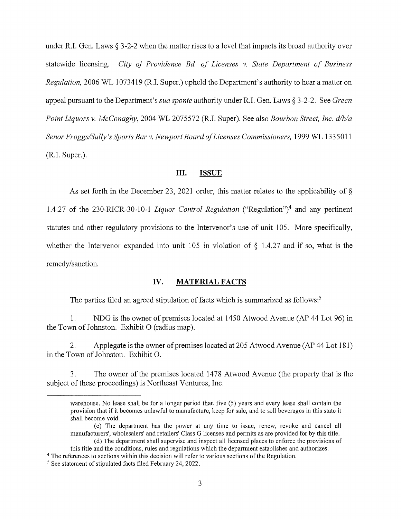under R.I. Gen. Laws § 3-2-2 when the matter rises to a level that impacts its broad authority over statewide licensing. *City of Providence Bd. of Licenses v. State Department of Business Regulation,* 2006 WL 1073419 (R.I. Super.) upheld the Department's authority to hear a matter on appeal pursuant to the Department's *sua sponte* authority under R.I. Gen. Laws§ 3-2-2. See *Green Point Liquors v. McConaghy,* 2004 WL 2075572 (R.I. Super). See also *Bourbon Street, Inc. d/b/a Senor Froggs/Sully's Sports Bar v. Newport Board of Licenses Commissioners,* 1999 WL 1335011 (R.I. Super.).

#### **III. ISSUE**

As set forth in the December 23, 2021 order, this matter relates to the applicability of§ 1.4.27 of the 230-RICR-30-10-1 *Liquor Control Regulation* ("Regulation")4 and any pertinent statutes and other regulatory provisions to the Intervenor's use of unit 105. More specifically, whether the Intervenor expanded into unit 105 in violation of  $\S$  1.4.27 and if so, what is the remedy/sanction.

# **IV. MATERIAL FACTS**

The parties filed an agreed stipulation of facts which is summarized as follows:<sup>5</sup>

1. NDG is the owner of premises located at 1450 Atwood Avenue (AP 44 Lot 96) in the Town of Johnston. Exhibit O (radius map).

2. Applegate is the owner of premises located at 205 Atwood Avenue (AP 44 Lot 181) in the Town of Johnston. Exhibit 0.

3. The owner of the premises located 1478 Atwood Avenue (the property that is the subject of these proceedings) is Northeast Ventures, Inc.

- (c) The department has the power at any time to issue, renew, revoke and cancel all manufacturers', wholesalers' and retailers' Class G licenses and permits as are provided for by this title. (d) The department shall supervise and inspect all licensed places to enforce the provisions of
- this title and the conditions, rules and regulations which the department establishes and authorizes.
- 4 The references to sections within this decision will refer to various sections of the Regulation.
- <sup>5</sup> See statement of stipulated facts filed February 24, 2022.

warehouse. No lease shall be for a longer period than five (5) years and every lease shall contain the provision that if it becomes unlawful to manufacture, keep for sale, and to sell beverages in this state it shall become void.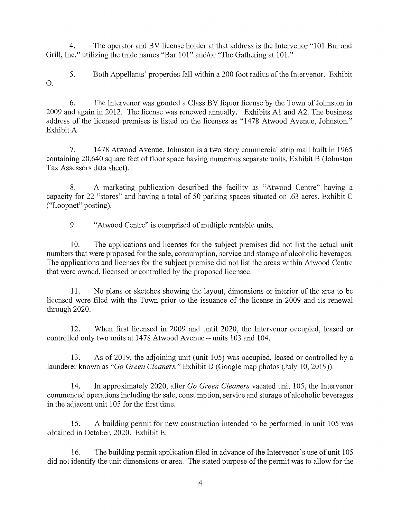4. The operator and BV license holder at that address is the Intervenor "101 Bar and Grill, Inc." utilizing the trade names "Bar 101" and/or "The Gathering at 101."

5. Both Appellants' properties fall within a 200 foot radius of the Intervenor. Exhibit 0.

6. The Intervenor was granted a Class BV liquor license by the Town of Jolmston in 2009 and again in 2012. The license was renewed annually. Exhibits Al and A2. The business address of the licensed premises is listed on the licenses as "1478 Atwood Avenue, Johnston." Exhibit A

7. 14 78 Atwood A venue, Johnston is a two story commercial strip mall built in 1965 containing 20,640 square feet of floor space having numerous separate units. Exhibit B (Johnston Tax Assessors data sheet).

8. A marketing publication described the facility as "Atwood Centre" having a capacity for 22 "stores" and having a total of 50 parking spaces situated on .63 acres. Exhibit C ("Loopnet" posting).

9. "Atwood Centre" is comprised of multiple rentable units.

10. The applications and licenses for the subject premises did not list the actual unit numbers that were proposed for the sale, consumption, service and storage of alcoholic beverages. The applications and licenses for the subject premise did not list the areas within Atwood Centre that were owned, licensed or controlled by the proposed licensee.

11. No plans or sketches showing the layout, dimensions or interior of the area to be licensed were filed with the Town prior to the issuance of the license in 2009 and its renewal through 2020.

12. When first licensed in 2009 and until 2020, the Intervenor occupied, leased or controlled only two units at 1478 Atwood Avenue – units 103 and 104.

13. As of 2019, the adjoining unit (unit 105) was occupied, leased or controlled by a launderer known as *"Go Green Cleaners."* Exhibit D (Google map photos (July 10, 2019)).

14. In approximately 2020, after *Go Green Cleaners* vacated unit 105, the Intervenor commenced operations including the sale, consumption, service and storage of alcoholic beverages in the adjacent unit 105 for the first time.

15. A building permit for new construction intended to be performed in unit 105 was obtained in October, 2020. Exhibit E.

16. The building permit application filed in advance of the Intervenor's use of unit 105 did not identify the unit dimensions or area. The stated purpose of the permit was to allow for the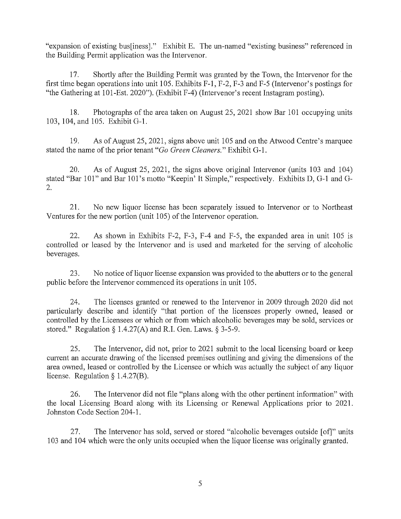"expansion of existing bus[iness]." Exhibit E. The un-named "existing business" referenced in the Building Permit application was the Intervenor.

17. Shortly after the Building Permit was granted by the Town, the Intervenor for the first time began operations into unit 105. Exhibits F-1, F-2, F-3 and F-5 (Intervenor's postings for "the Gathering at 101-Est. 2020"). (Exhibit F-4) (Intervenor's recent Instagram posting).

18. Photographs of the area taken on August 25, 2021 show Bar 101 occupying units 103, 104, and 105. Exhibit G-1.

19. As of August 25, 2021, signs above unit 105 and on the Atwood Centre's marquee stated the name of the prior tenant *"Go Green Cleaners."* Exhibit G-1.

20. As of August 25, 2021, the signs above original Intervenor (units 103 and 104) stated "Bar 101" and Bar 101 's motto "Keepin' It Simple," respectively. Exhibits D, G-1 and G-2.

21. No new liquor license has been separately issued to Intervenor or to Northeast Ventures for the new portion (unit 105) of the Intervenor operation.

22. As shown in Exhibits F-2, F-3, F-4 and F-5, the expanded area in unit 105 is controlled or leased by the Intervenor and is used and marketed for the serving of alcoholic beverages.

23. No notice of liquor license expansion was provided to the abutters or to the general public before the Intervenor commenced its operations in unit 105.

24. The licenses granted or renewed to the Intervenor in 2009 through 2020 did not particularly describe and identify "that portion of the licensees properly owned, leased or controlled by the Licensees or which or from which alcoholic beverages may be sold, services or stored." Regulation  $\S 1.4.27(A)$  and R.I. Gen. Laws.  $\S 3-5-9$ .

25. The Intervenor, did not, prior to 2021 submit to the local licensing board or keep current an accurate drawing of the licensed premises outlining and giving the dimensions of the area owned, leased or controlled by the Licensee or which was actually the subject of any liquor license. Regulation § 1.4.27(B).

26. The Intervenor did not file "plans along with the other pertinent information" with the local Licensing Board along with its Licensing or Renewal Applications prior to 2021. Johnston Code Section 204-1.

27. The Intervenor has sold, served or stored "alcoholic beverages outside [of]" units 103 and 104 which were the only units occupied when the liquor license was originally granted.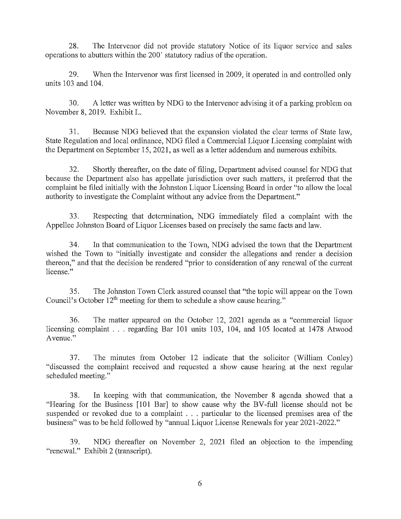28. The Intervenor did not provide statutory Notice of its liquor service and sales operations to abutters within the 200' statutory radius of the operation.

29. When the Intervenor was first licensed in 2009, it operated in and controlled only units 103 and 104.

30. A letter was written by NDG to the Intervenor advising it of a parking problem on November 8, 2019. Exhibit L.

31. Because NDG believed that the expansion violated the clear terms of State law, State Regulation and local ordinance, NDG filed a Commercial Liquor Licensing complaint with the Department on September 15, 2021, as well as a letter addendum and numerous exhibits.

32. Shortly thereafter, on the date of filing, Department advised counsel for NDG that because the Department also has appellate jurisdiction over such matters, it preferred that the complaint be filed initially with the Johnston Liquor Licensing Board in order "to allow the local authority to investigate the Complaint without any advice from the Department."

33. Respecting that determination, NDG immediately filed a complaint with the Appellee Johnston Board of Liquor Licenses based on precisely the same facts and law.

34. In that communication to the Town, NDG advised the town that the Department wished the Town to "initially investigate and consider the allegations and render a decision thereon," and that the decision be rendered "prior to consideration of any renewal of the current license."

35. The Johnston Town Clerk assured counsel that "the topic will appear on the Town Council's October  $12<sup>th</sup>$  meeting for them to schedule a show cause hearing."

36. The matter appeared on the October 12, 2021 agenda as a "commercial liquor licensing complaint . . . regarding Bar 101 units 103, 104, and 105 located at 1478 Atwood Avenue."

37. The minutes from October 12 indicate that the solicitor (William Conley) "discussed the complaint received and requested a show cause hearing at the next regular scheduled meeting."

38. In keeping with that communication, the November 8 agenda showed that a "Hearing for the Business [101 Bar] to show cause why the BV-full license should not be suspended or revoked due to a complaint . . . particular to the licensed premises area of the business" was to be held followed by "annual Liquor License Renewals for year 2021-2022."

39. NDG thereafter on November 2, 2021 filed an objection to the impending "renewal." Exhibit 2 (transcript).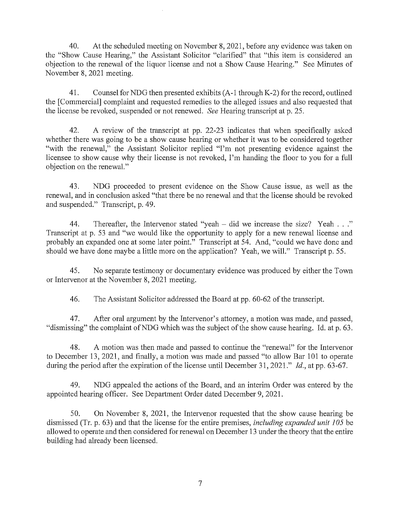40. At the scheduled meeting on November 8, 2021, before any evidence was taken on the "Show Cause Hearing," the Assistant Solicitor "clarified" that "this item is considered an objection to the renewal of the liquor license and not a Show Cause Hearing." See Minutes of November 8, 2021 meeting.

41. Counsel for NDG then presented exhibits (A-1 through K-2) for the record, outlined the [Commercial] complaint and requested remedies to the alleged issues and also requested that the license be revoked, suspended or not renewed. *See* Hearing transcript at p. 25.

42. A review of the transcript at pp. 22-23 indicates that when specifically asked whether there was going to be a show cause hearing or whether it was to be considered together "with the renewal," the Assistant Solicitor replied "I'm not presenting evidence against the licensee to show cause why their license is not revoked, I'm handing the floor to you for a full objection on the renewal."

43. NDG proceeded to present evidence on the Show Cause issue, as well as the renewal, and in conclusion asked "that there be no renewal and that the license should be revoked and suspended." Transcript, p. 49.

44. Thereafter, the Intervenor stated "yeah – did we increase the size? Yeah ..." Transcript at p. 53 and "we would like the opportunity to apply for a new renewal license and probably an expanded one at some later point." Transcript at 54. And, "could we have done and should we have done maybe a little more on the application? Yeah, we will." Transcript p. 55.

45. No separate testimony or documentary evidence was produced by either the Town or Intervenor at the November 8, 2021 meeting.

46. The Assistant Solicitor addressed the Board at pp. 60-62 of the transcript.

47. After oral argument by the Intervenor's attorney, a motion was made, and passed, "dismissing" the complaint of NDG which was the subject of the show cause hearing. Id. at p. 63.

48. A motion was then made and passed to continue the "renewal" for the Intervenor to December 13, 2021, and finally, a motion was made and passed "to allow Bar 101 to operate during the period after the expiration of the license until December 31, 2021." *Id.,* at pp. 63-67.

49. NDG appealed the actions of the Board, and an interim Order was entered by the appointed hearing officer. See Department Order dated December 9, 2021.

50. On November 8, 2021, the Intervenor requested that the show cause hearing be dismissed (Tr. p. 63) and that the license for the entire premises, *including expanded unit 105* be allowed to operate and then considered for renewal on December 13 under the theory that the entire building had already been licensed.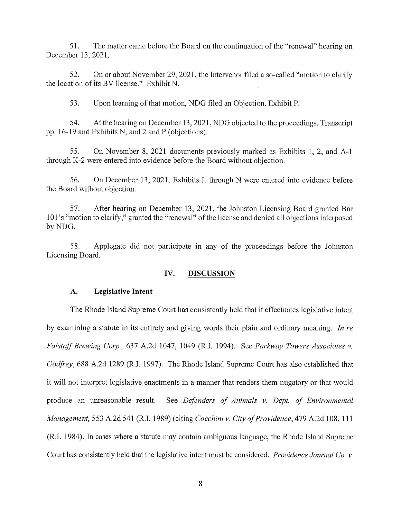51. The matter came before the Board on the continuation of the "renewal" hearing on December 13, 2021.

52. On or about November 29, 2021, the Intervenor filed a so-called "motion to clarify the location of its BV license." Exhibit N.

53. Upon learning of that motion, NDG filed an Objection. Exhibit P.

54. At the hearing on December 13, 2021, NDG objected to the proceedings. Transcript pp. 16-19 and Exhibits N, and 2 and P (objections).

55. On November 8, 2021 documents previously marked as Exhibits 1, 2, and A-1 through K-2 were entered into evidence before the Board without objection.

56. On December 13, 2021, Exhibits L through N were entered into evidence before the Board without objection.

57. After hearing on December 13, 2021, the Johnston Licensing Board granted Bar 101 's "motion to clarify," granted the "renewal" of the license and denied all objections interposed by NDG.

58. Applegate did not participate in any of the proceedings before the Johnston Licensing Board.

## **IV. DISCUSSION**

#### **A. Legislative Intent**

The Rhode Island Supreme Court has consistently held that it effectuates legislative intent by examining a statute in its entirety and giving words their plain and ordinary meaning. *In re Falstaff Brewing Corp.,* 637 A.2d 1047, 1049 (R.I. 1994). See *Parkway Towers Associates v. Godfrey,* 688 A.2d 1289 (R.I. 1997). The Rhode Island Supreme Court has also established that it will not interpret legislative enactments in a manner that renders them nugatory or that would produce an unreasonable result. See *Defenders of Animals v. Dept. of Environmental Management,* 553 A.2d 541 (R.I. 1989) (citing *Cocchini v. City of Providence,* 479 A.2d 108, 111 (R.I. 1984). In cases where a statute may contain ambiguous language, the Rhode Island Supreme Court has consistently held that the legislative intent must be considered. *Providence Journal Co. v.*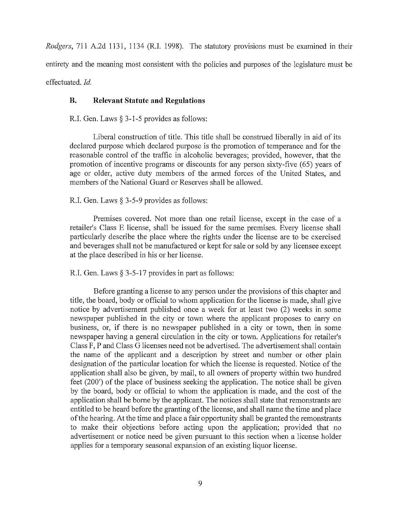*Rodgers,* 711 A.2d 1131, 1134 (R.I. 1998). The statutory provisions must be examined in their entirety and the meaning most consistent with the policies and purposes of the legislature must be effectuated. *Id.* 

## **B. Relevant Statute and Regulations**

R.I. Gen. Laws§ 3-1-5 provides as follows:

Liberal construction of title. This title shall be construed liberally in aid of its declared purpose which declared purpose is the promotion of temperance and for the reasonable control of the traffic in alcoholic beverages; provided, however, that the promotion of incentive programs or discounts for any person sixty-five (65) years of age or older, active duty members of the armed forces of the United States, and members of the National Guard or Reserves shall be allowed.

### R.I. Gen. Laws § 3-5-9 provides as follows:

Premises covered. Not more than one retail license, except in the case of a retailer's Class E license, shall be issued for the same premises. Every license shall particularly describe the place where the rights under the license are to be exercised and beverages shall not be manufactured or kept for sale or sold by any licensee except at the place described in his or her license.

#### R.I. Gen. Laws§ 3-5-17 provides in part as follows:

Before granting a license to any person under the provisions of this chapter and title, the board, body or official to whom application for the license is made, shall give notice by advertisement published once a week for at least two (2) weeks in some newspaper published in the city or town where the applicant proposes to cany on business, or, if there is no newspaper published in a city or town, then in some newspaper having a general circulation in the city or town. Applications for retailer's Class F, P and Class G licenses need not be advertised. The advertisement shall contain the name of the applicant and a description by street and number or other plain designation of the particular location for which the license is requested. Notice of the application shall also be given, by mail, to all owners of property within two hundred feet (200') of the place of business seeking the application. The notice shall be given by the board, body or official to whom the application is made, and the cost of the application shall be borne by the applicant. The notices shall state that remonstrants are entitled to be heard before the granting of the license, and shall name the time and place of the hearing. At the time and place a fair opportunity shall be granted the remonstrants to make their objections before acting upon the application; provided that no advertisement or notice need be given pursuant to this section when a license holder applies for a temporary seasonal expansion of an existing liquor license.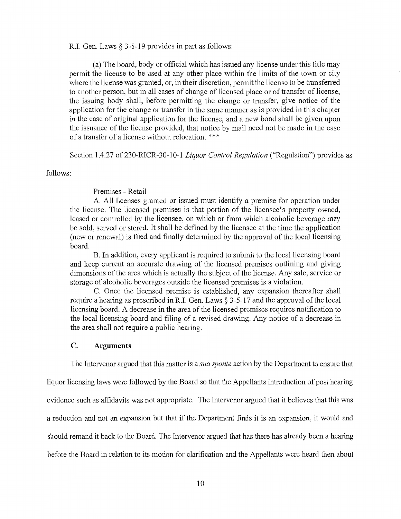R.I. Gen. Laws§ 3-5-19 provides in part as follows:

(a) The board, body or official which has issued any license under this title may permit the license to be used at any other place within the limits of the town or city where the license was granted, or, in their discretion, permit the license to be transferred to another person, but in all cases of change of licensed place or of transfer of license, the issuing body shall, before permitting the change or transfer, give notice of the application for the change or transfer in the same manner as is provided in this chapter in the case of original application for the license, and a new bond shall be given upon the issuance of the license provided, that notice by mail need not be made in the case of a transfer of a license without relocation. \* \* \*

Section 1.4.27 of 230-RICR-30-10-1 *Liquor Control Regulation* ("Regulation") provides as

follows:

## Premises - Retail

A. All licenses granted or issued must identify a premise for operation under the license. The licensed premises is that portion of the licensee's property owned, leased or controlled by the licensee, on which or from which alcoholic beverage may be sold, served or stored. It shall be defined by the licensee at the time the application (new or renewal) is filed and finally determined by the approval of the local licensing board.

B. In addition, every applicant is required to submit to the local licensing board and keep current an accurate drawing of the licensed premises outlining and giving dimensions of the area which is actually the subject of the license. Any sale, service or storage of alcoholic beverages outside the licensed premises is a violation.

C. Once the licensed premise is established, any expansion thereafter shall require a hearing as prescribed in R.I. Gen. Laws § 3-5-17 and the approval of the local licensing board. A decrease in the area of the licensed premises requires notification to the local licensing board and filing of a revised drawing. Any notice of a decrease in the area shall not require a public hearing.

## **C. Arguments**

The Intervenor argued that this matter is a *sua sponte* action by the Department to ensure that

liquor licensing laws were followed by the Board so that the Appellants introduction of post hearing evidence such as affidavits was not appropriate. The Intervenor argued that it believes that this was a reduction and not an expansion but that if the Department finds it is an expansion, it would and should remand it back to the Board. The Intervenor argued that has there has already been a hearing before the Board in relation to its motion for clarification and the Appellants were heard then about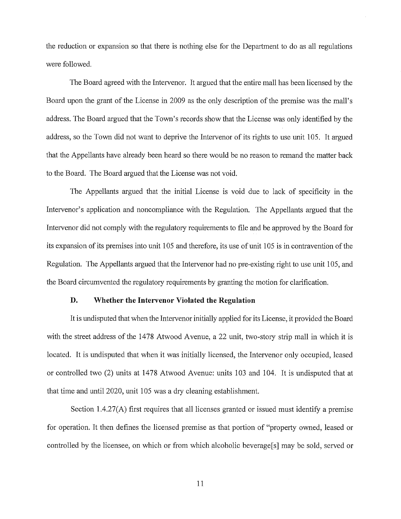the reduction or expansion so that there is nothing else for the Department to do as all regulations were followed.

The Board agreed with the Intervenor. It argued that the entire mall has been licensed by the Board upon the grant of the License in 2009 as the only description of the premise was the mall's address. The Board argued that the Town's records show that the License was only identified by the address, so the Town did not want to deprive the Intervenor of its rights to use unit 105. It argued that the Appellants have already been heard so there would be no reason to remand the matter back to the Board. The Board argued that the License was not void.

The Appellants argued that the initial License is void due to lack of specificity in the Intervenor's application and noncompliance with the Regulation. The Appellants argued that the Intervenor did not comply with the regulatory requirements to file and be approved by the Board for its expansion of its premises into unit 105 and therefore, its use of unit 105 is in contravention of the Regulation. The Appellants argued that the Intervenor had no pre-existing right to use unit 105, and the Board circumvented the regulatory requirements by granting the motion for clarification.

## **D. Whether the Intervenor Violated the Regulation**

It is undisputed that when the Intervenor initially applied for its License, it provided the Board with the street address of the 1478 Atwood Avenue, a 22 unit, two-story strip mall in which it is located. It is undisputed that when it was initially licensed, the Intervenor only occupied, leased or controlled two (2) units at 1478 Atwood Avenue: units 103 and 104. It is undisputed that at that time and until 2020, unit 105 was a dry cleaning establishment.

Section  $1.4.27(A)$  first requires that all licenses granted or issued must identify a premise for operation. It then defines the licensed premise as that portion of "property owned, leased or controlled by the licensee, on which or from which alcoholic beverage[s] may be sold, served or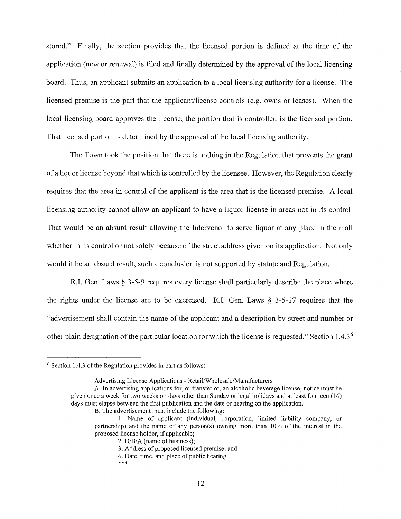stored." Finally, the section provides that the licensed portion is defined at the time of the application (new or renewal) is filed and finally determined by the approval of the local licensing board. Thus, an applicant submits an application to a local licensing authority for a license. The licensed premise is the part that the applicant/license controls (e.g. owns or leases). When the local licensing board approves the license, the portion that is controlled is the licensed portion. That licensed portion is determined by the approval of the local licensing authority.

The Town took the position that there is nothing in the Regulation that prevents the grant of a liquor license beyond that which is controlled by the licensee. However, the Regulation clearly requires that the area in control of the applicant is the area that is the licensed premise. A local licensing authority cannot allow an applicant to have a liquor license in areas not in its control. That would be an absurd result allowing the Intervenor to serve liquor at any place in the mall whether in its control or not solely because of the street address given on its application. Not only would it be an absurd result, such a conclusion is not supported by statute and Regulation.

R.I. Gen. Laws § 3-5-9 requires every license shall particularly describe the place where the rights under the license are to be exercised. R.I. Gen. Laws § 3-5-17 requires that the "advertisement shall contain the name of the applicant and a description by street and number or other plain designation of the particular location for which the license is requested." Section 1.4.36

 $6$  Section 1.4.3 of the Regulation provides in part as follows:

Advertising License Applications - Retail/Wholesale/Manufacturers

A. In advertising applications for, or transfer of, an alcoholic beverage license, notice must be given once a week for two weeks on days other than Sunday or legal holidays and at least fourteen (14) days must elapse between the first publication and the date or hearing on the application.

B. The advertisement must include the following:

I. Name of applicant (individual, corporation, limited liability company, or partnership) and the name of any person(s) owning more than 10% of the interest in the proposed license holder, if applicable;

<sup>2.</sup> D/B/A (name of business);

<sup>3.</sup> Address of proposed licensed premise; and

<sup>4.</sup> Date, time, and place of public hearing.

<sup>\*\*\*</sup>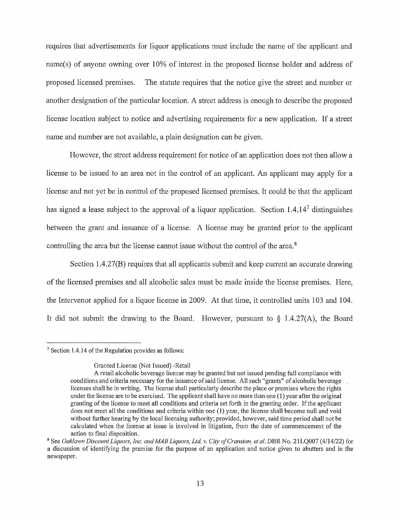requires that advertisements for liquor applications must include the name of the applicant and name(s) of anyone owning over 10% of interest in the proposed license holder and address of proposed licensed premises. The statute requires that the notice give the street and number or another designation of the particular location. A street address is enough to describe the proposed license location subject to notice and advertising requirements for a new application. If a street name and number are not available, a plain designation can be given.

However, the street address requirement for notice of an application does not then allow a license to be issued to an area not in the control of an applicant. An applicant may apply for a license and not yet be in control of the proposed licensed premises. It could be that the applicant has signed a lease subject to the approval of a liquor application. Section 1.4.147 distinguishes between the grant and issuance of a license. A license may be granted prior to the applicant controlling the area but the license cannot issue without the control of the area.<sup>8</sup>

Section  $1.4.27(B)$  requires that all applicants submit and keep current an accurate drawing of the licensed premises and all alcoholic sales must be made inside the license premises. Here, the Intervenor applied for a liquor license in 2009. At that time, it controlled units 103 and 104. It did not submit the drawing to the Board. However, pursuant to  $\S$  1.4.27(A), the Board

<sup>7</sup> Section 1.4.14 of the Regulation provides as follows:

Granted License (Not Issued) -Retail

A retail alcoholic beverage license may be granted but not issued pending full compliance with conditions and criteria necessary for the issuance of said license. All such "grants" of alcoholic beverage licenses shall be in writing. The license shall particularly describe the place or premises where the rights under the license are to be exercised. The applicant shall have no more than one (1) year after the original granting of the license to meet all conditions and criteria set forth in the granting order. If the applicant does not meet all the conditions and criteria within one (1) year, the license shall become null and void without further hearing by the local licensing authority; provided, however, said time period shall not be calculated when the license at issue is involved in litigation, from the date of commencement of the action to final disposition.

<sup>&</sup>lt;sup>8</sup> See Oaklawn Discount Liquors, Inc. and MAB Liquors, Ltd. v. City of Cranston, et al. DBR No. 21LQ007 (4/14/22) for a discussion of identifying the premise for the purpose of an application and notice given to abutters and in the newspaper.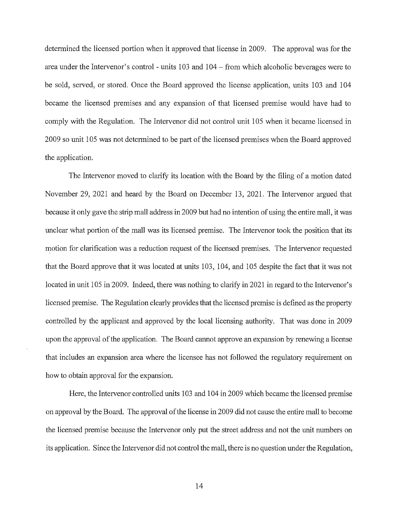determined the licensed portion when it approved that license in 2009. The approval was for the area under the Intervenor's control - units 103 and 104 - from which alcoholic beverages were to be sold, served, or stored. Once the Board approved the license application, units 103 and 104 became the licensed premises and any expansion of that licensed premise would have had to comply with the Regulation. The Intervenor did not control unit 105 when it became licensed in 2009 so unit 105 was not determined to be part of the licensed premises when the Board approved the application.

The Intervenor moved to clarify its location with the Board by the filing of a motion dated November 29, 2021 and heard by the Board on December 13, 2021. The Intervenor argued that because it only gave the strip mall address in 2009 but had no intention of using the entire mall, it was unclear what portion of the mall was its licensed premise. The Intervenor took the position that its motion for clarification was a reduction request of the licensed premises. The Intervenor requested that the Board approve that it was located at units 103, 104, and 105 despite the fact that it was not located in unit 105 in 2009. Indeed, there was nothing to clarify in 2021 in regard to the Intervenor's licensed premise. The Regulation clearly provides that the licensed premise is defined as the property controlled by the applicant and approved by the local licensing authority. That was done in 2009 upon the approval of the application. The Board cannot approve an expansion by renewing a license that includes an expansion area where the licensee has not followed the regulatory requirement on how to obtain approval for the expansion.

Here, the Intervenor controlled units 103 and 104 in 2009 which became the licensed premise on approval by the Board. The approval of the license in 2009 did not cause the entire mall to become the licensed premise because the Intervenor only put the street address and not the unit numbers on its application. Since the Intervenor did not control the mall, there is no question under the Regulation,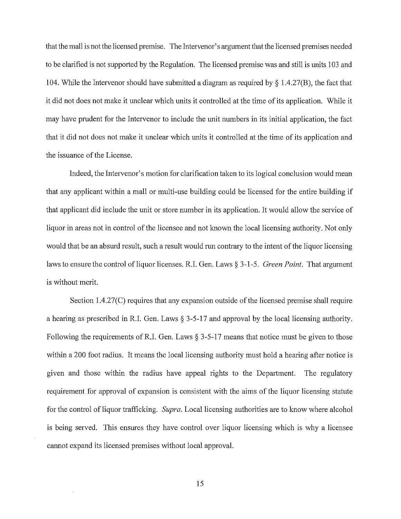that the mall is not the licensed premise. The Intervenor's argument that the licensed premises needed to be clarified is not supported by the Regulation. The licensed premise was and still is units 103 and 104. While the Intervenor should have submitted a diagram as required by § 1.4.27(B), the fact that it did not does not make it unclear which units it controlled at the time of its application. While it may have prudent for the Intervenor to include the unit numbers in its initial application, the fact that it did not does not make it unclear which units it controlled at the time of its application and the issuance of the License.

Indeed, the Intervenor's motion for clarification taken to its logical conclusion would mean that any applicant within a mall or multi-use building could be licensed for the entire building if that applicant did include the unit or store number in its application. It would allow the service of liquor in areas not in control of the licensee and not known the local licensing authority. Not only would that be an absurd result, such a result would run contrary to the intent of the liquor licensing laws to ensure the control of liquor licenses. R.I. Gen. Laws § 3-1-5. *Green Point.* That argument is without merit.

Section 1.4.27(C) requires that any expansion outside of the licensed premise shall require a hearing as prescribed in R.I. Gen. Laws § 3-5-17 and approval by the local licensing authority. Following the requirements of R.I. Gen. Laws  $\S 3-5-17$  means that notice must be given to those within a 200 foot radius. It means the local licensing authority must hold a hearing after notice is given and those within the radius have appeal rights to the Department. The regulatory requirement for approval of expansion is consistent with the aims of the liquor licensing statute for the control of liquor trafficking. *Supra*. Local licensing authorities are to know where alcohol is being served. This ensures they have control over liquor licensing which is why a licensee cannot expand its licensed premises without local approval.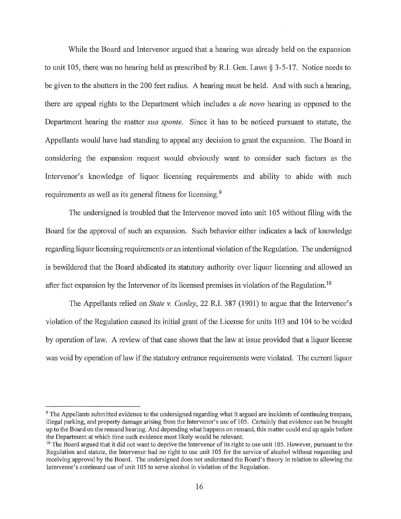While the Board and Intervenor argued that a hearing was already held on the expansion to unit 105, there was no hearing held as prescribed by R.I. Gen. Laws  $\S 3-5-17$ . Notice needs to be given to the abutters in the 200 feet radius. A hearing must be held. And with such a hearing, there are appeal rights to the Department which includes a *de nova* hearing as opposed to the Department hearing the matter *sua sponte.* Since it has to be noticed pursuant to statute, the Appellants would have had standing to appeal any decision to grant the expansion. The Board in considering the expansion request would obviously want to consider such factors as the Intervenor's knowledge of liquor licensing requirements and ability to abide with such requirements as well as its general fitness for licensing.<sup>9</sup>

The undersigned is troubled that the Intervenor moved into unit 105 without filing with the Board for the approval of such an expansion. Such behavior either indicates a lack of knowledge regarding liquor licensing requirements or an intentional violation of the Regulation. The undersigned is bewildered that the Board abdicated its statutory authority over liquor licensing and allowed an after fact expansion by the Intervenor of its licensed premises in violation of the Regulation.<sup>10</sup>

The Appellants relied on *State v. Conley,* 22 R.I. 387 (1901) to argue that the Intervenor's violation of the Regulation caused its initial grant of the License for units 103 and 104 to be voided by operation of law. A review of that case shows that the law at issue provided that a liquor license was void by operation of law if the statutory entrance requirements were violated. The current liquor

<sup>9</sup>The Appellants submitted evidence to the undersigned regarding what it argued are incidents of continuing trespass, illegal parking, and property damage arising from the Intervenor's use of 105. Certainly that evidence can be brought up to the Board on the remand hearing. And depending what happens on remand, this matter could end up again before the Department at which time such evidence most likely would be relevant.<br><sup>10</sup> The Board argued that it did not want to deprive the Intervenor of its right to use unit 105. However, pursuant to the

Regulation and statute, the Intervenor had no right to use unit 105 for the service of alcohol without requesting and receiving approval by the Board. The undersigned does not understand the Board's theory in relation to allowing the Intervenor's continued use of unit 105 to serve alcohol in violation of the Regulation.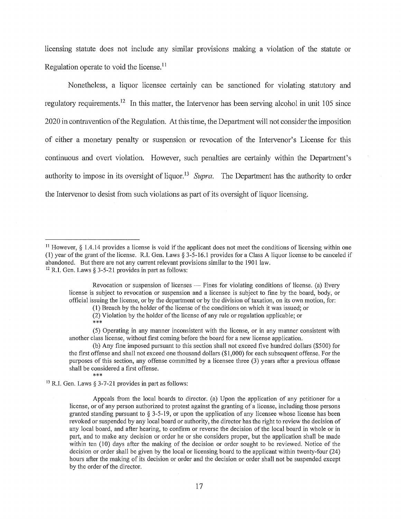licensing statute does not include any similar provisions making a violation of the statute or Regulation operate to void the license.<sup>11</sup>

Nonetheless, a liquor licensee certainly can be sanctioned for violating statutory and regulatory requirements.<sup>12</sup> In this matter, the Intervenor has been serving alcohol in unit 105 since 2020 in contravention of the Regulation. At this time, the Depmiment will not consider the imposition of either a monetary penalty or suspension or revocation of the Intervenor's License for this continuous and overt violation. However, such penalties are certainly within the Department's authority to impose in its oversight of liquor.<sup>13</sup> Supra. The Department has the authority to order the Intervenor to desist from such violations as part of its oversight of liquor licensing.

(1) Breach by the holder of the license of the conditions on which it was issued; or

(2) Violation by the holder of the license of any rule or regulation applicable; or \*\*\*

<sup>13</sup> R.I. Gen. Laws § 3-7-21 provides in part as follows:

Appeals from the local boards to director. (a) Upon the application of any petitioner for a license, or of any person authorized to protest against the granting of a license, including those persons granted standing pursuant to  $\S 3-5-19$ , or upon the application of any licensee whose license has been revoked or suspended by any local board or authority, the director has the right to review the decision of any local board, and after hearing, to confinn or reverse the decision of the local board in whole or in part, and to make any decision or order he or she considers proper, but the application shall be made within ten (10) days after the making of the decision or order sought to be reviewed. Notice of the decision or order shall be given by the local or licensing board to the applicant within twenty-four (24) hours after the making of its decision or order and the decision or order shall not be suspended except by the order of the director.

<sup>&</sup>lt;sup>11</sup> However,  $§$  1.4.14 provides a license is void if the applicant does not meet the conditions of licensing within one (1) year of the grant of the license. R.I. Gen. Laws§ 3-5-16.1 provides for a Class A liquor license to be canceled if abandoned. But there are not any current relevant provisions similar to the 1901 law.  $^{12}$  R.I. Gen. Laws § 3-5-21 provides in part as follows:

Revocation or suspension of licenses  $-$  Fines for violating conditions of license. (a) Every license is subject to revocation or suspension and a licensee is subject to fme by the board, body, or official issuing the license, or by the department or by the division of taxation, on its own motion, for:

<sup>(5)</sup> Operating in any manner inconsistent with the license, or in any manner consistent with another class license, without first coming before the board for a new license application.

<sup>(</sup>b) Any fine imposed pursuant to this section shall not exceed five hundred dollars (\$500) for the first offense and shall not exceed one thousand dollars (\$1,000) for each subsequent offense. For the purposes of this section, any offense committed by a licensee three (3) years after a previous offense shall be considered a first offense.<br>\*\*\*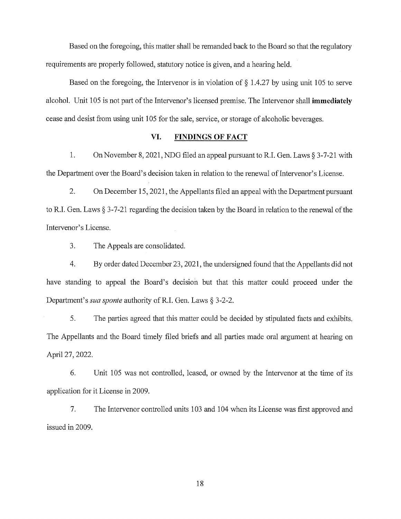Based on the foregoing, this matter shall be remanded back to the Board so that the regulatory requirements are properly followed, statutory notice is given, and a hearing held.

Based on the foregoing, the Intervenor is in violation of  $\S$  1.4.27 by using unit 105 to serve alcohol. Unit 105 is not part of the Intervenor's licensed premise. The Intervenor shall **immediately**  cease and desist from using unit 105 for the sale, service, or storage of alcoholic beverages.

## **VI. FINDINGS OF FACT**

1. On November 8, 2021, NDG filed an appeal pursuant to R.I. Gen. Laws § 3-7-21 with the Department over the Board's decision taken in relation to the renewal of Intervenor's License.

2. On December 15, 2021, the Appellants filed an appeal with the Department pursuant to R.I. Gen. Laws§ 3-7-21 regarding the decision taken by the Board in relation to the renewal of the Intervenor's License.

3. The Appeals are consolidated.

4. By order dated December 23, 2021, the undersigned found that the Appellants did not have standing to appeal the Board's decision but that this matter could proceed under the Department's *sua sponte* authority of R.I. Gen. Laws § 3-2-2.

5. The parties agreed that this matter could be decided by stipulated facts and exhibits. The Appellants and the Board timely filed briefs and all parties made oral argument at hearing on April 27, 2022.

6. Unit 105 was not controlled, leased, or owned by the Intervenor at the time of its application for it License in 2009.

7. The Intervenor controlled units 103 and 104 when its License was first approved and issued in 2009.

18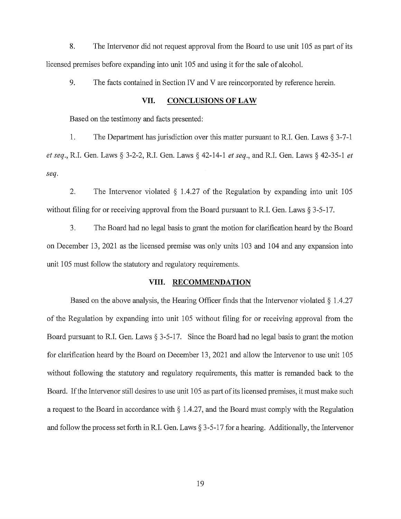8. The Intervenor did not request approval from the Board to use unit 105 as part of its licensed premises before expanding into unit 105 and using it for the sale of alcohol.

9. The facts contained in Section IV and V are reincorporated by reference herein.

### **VII. CONCLUSIONS OF LAW**

Based on the testimony and facts presented:

1. The Department has jurisdiction over this matter pursuant to R.I. Gen. Laws § 3-7-1 *et seq.,* R.I. Gen. Laws§ 3-2-2, R.I. Gen. Laws§ 42-14-1 *et seq.,* and R.I. Gen. Laws § 42-35-1 *et seq.* 

2. The Intervenor violated § 1.4.27 of the Regulation by expanding into unit 105 without filing for or receiving approval from the Board pursuant to R.I. Gen. Laws § 3-5-17.

3. The Board had no legal basis to grant the motion for clarification heard by the Board on December 13, 2021 as the licensed premise was only units 103 and 104 and any expansion into unit 105 must follow the statutory and regulatory requirements.

### **VIII. RECOMMENDATION**

Based on the above analysis, the Hearing Officer finds that the Intervenor violated  $\S 1.4.27$ of the Regulation by expanding into unit 105 without filing for or receiving approval from the Board pursuant to R.I. Gen. Laws  $\S 3$ -5-17. Since the Board had no legal basis to grant the motion for clarification heard by the Board on December 13, 2021 and allow the Intervenor to use unit 105 without following the statutory and regulatory requirements, this matter is remanded back to the Board. If the Intervenor still desires to use unit 105 as part of its licensed premises, it must make such a request to the Board in accordance with  $\S$  1.4.27, and the Board must comply with the Regulation and follow the process set forth inR.I. Gen. Laws§ 3-5-17 for a hearing. Additionally, the Intervenor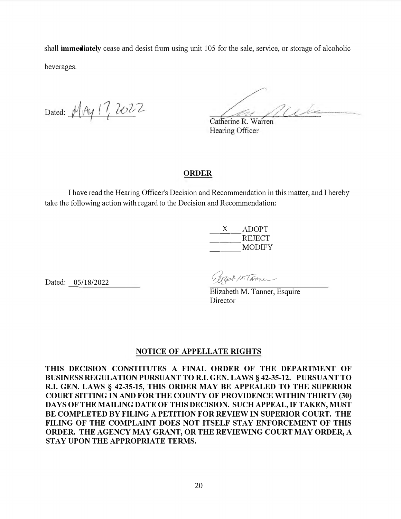shall **immediately** cease and desist from using unit 105 for the sale, service, or storage of alcoholic beverages.

Dated: Mry 17, 2022

Par Miles

Catherine R. Warren Hearing Officer

# **ORDER**

I have read the Hearing Officer's Decision and Recommendation in this matter, and I hereby take the following action with regard to the Decision and Recommendation:

| ADOPT         |
|---------------|
| <b>REJECT</b> |
| <b>MODIFY</b> |

Dated: 05/18/2022

Eleant M. Tanner

Elizabeth M. Tanner, Esquire **Director** 

# **NOTICE OF APPELLATE RIGHTS**

**THIS DECISION CONSTITUTES A FINAL ORDER OF THE DEPARTMENT OF BUSINESS REGULATION PURSUANT TO R.I. GEN. LAWS§ 42-35-12. PURSUANT TO R.I. GEN. LAWS§ 42-35-15, THIS ORDER MAY BE APPEALED TO THE SUPERIOR COURT SITTING IN AND FOR THE COUNTY OF PROVIDENCE WITHIN THIRTY (30) DAYS OF THE MAILING DATE OF THIS DECISION. SUCH APPEAL, IF TAKEN, MUST BE COMPLETED BY FILING A PETITION FOR REVIEW IN SUPERIOR COURT. THE FILING OF THE COMPLAINT DOES NOT ITSELF STAY ENFORCEMENT OF THIS ORDER. THE AGENCY MAY GRANT, OR THE REVIEWING COURT MAY ORDER, A STAY UPON THE APPROPRIATE TERMS.**